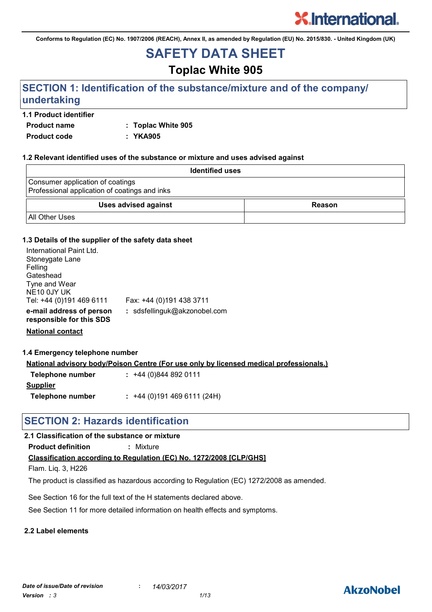**Conforms to Regulation (EC) No. 1907/2006 (REACH), Annex II, as amended by Regulation (EU) No. 2015/830. - United Kingdom (UK)**

## **SAFETY DATA SHEET**

## **Toplac White 905**

## **SECTION 1: Identification of the substance/mixture and of the company/ undertaking**

#### **1.1 Product identifier**

**Product name : Toplac White 905**

**Product code : YKA905**

#### **1.2 Relevant identified uses of the substance or mixture and uses advised against**

| <b>Identified uses</b>                                                            |        |
|-----------------------------------------------------------------------------------|--------|
| Consumer application of coatings<br>Professional application of coatings and inks |        |
| <b>Uses advised against</b>                                                       | Reason |
| <b>All Other Uses</b>                                                             |        |

#### **1.3 Details of the supplier of the safety data sheet**

| International Paint Ltd.<br>Stoneygate Lane<br>Felling<br>Gateshead<br>Tyne and Wear<br>NE10 0JY UK |                              |
|-----------------------------------------------------------------------------------------------------|------------------------------|
| Tel: +44 (0)191 469 6111                                                                            | Fax: +44 (0)191 438 3711     |
| e-mail address of person<br>responsible for this SDS                                                | : sdsfellinguk@akzonobel.com |

**National contact**

#### **1.4 Emergency telephone number**

**National advisory body/Poison Centre (For use only by licensed medical professionals.)**

| Telephone number | $: +44(0)8448920111$      |
|------------------|---------------------------|
| <b>Supplier</b>  |                           |
| Telephone number | $: +44(0)1914696111(24H)$ |

### **SECTION 2: Hazards identification**

### **2.1 Classification of the substance or mixture**

**Product definition :** Mixture

#### **Classification according to Regulation (EC) No. 1272/2008 [CLP/GHS]**

Flam. Liq. 3, H226

The product is classified as hazardous according to Regulation (EC) 1272/2008 as amended.

See Section 16 for the full text of the H statements declared above.

See Section 11 for more detailed information on health effects and symptoms.

#### **2.2 Label elements**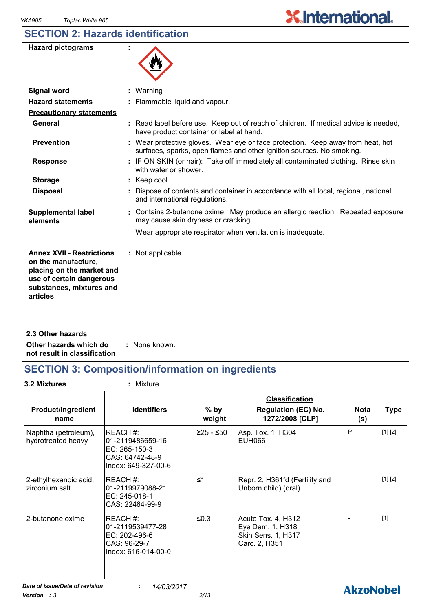## **SECTION 2: Hazards identification**

| <b>Hazard pictograms</b> |  |
|--------------------------|--|
|--------------------------|--|



| <b>Signal word</b>                                                                                                                                       | $:$ Warning                                                                                                                                              |
|----------------------------------------------------------------------------------------------------------------------------------------------------------|----------------------------------------------------------------------------------------------------------------------------------------------------------|
| <b>Hazard statements</b>                                                                                                                                 | : Flammable liquid and vapour.                                                                                                                           |
| <b>Precautionary statements</b>                                                                                                                          |                                                                                                                                                          |
| General                                                                                                                                                  | : Read label before use. Keep out of reach of children. If medical advice is needed,<br>have product container or label at hand.                         |
| <b>Prevention</b>                                                                                                                                        | : Wear protective gloves. Wear eye or face protection. Keep away from heat, hot<br>surfaces, sparks, open flames and other ignition sources. No smoking. |
| <b>Response</b>                                                                                                                                          | : IF ON SKIN (or hair): Take off immediately all contaminated clothing. Rinse skin<br>with water or shower.                                              |
| <b>Storage</b>                                                                                                                                           | : Keep cool.                                                                                                                                             |
| <b>Disposal</b>                                                                                                                                          | : Dispose of contents and container in accordance with all local, regional, national<br>and international regulations.                                   |
| <b>Supplemental label</b><br>elements                                                                                                                    | : Contains 2-butanone oxime. May produce an allergic reaction. Repeated exposure<br>may cause skin dryness or cracking.                                  |
|                                                                                                                                                          | Wear appropriate respirator when ventilation is inadequate.                                                                                              |
| <b>Annex XVII - Restrictions</b><br>on the manufacture,<br>placing on the market and<br>use of certain dangerous<br>substances, mixtures and<br>articles | : Not applicable.                                                                                                                                        |
|                                                                                                                                                          |                                                                                                                                                          |

**Other hazards which do : not result in classification** : None known. **2.3 Other hazards**

## **SECTION 3: Composition/information on ingredients**

**3.2 Mixtures :** Mixture

| <b>Product/ingredient</b><br>name          | <b>Identifiers</b>                                                                     | $%$ by<br>weight | <b>Classification</b><br><b>Regulation (EC) No.</b><br>1272/2008 [CLP]        | <b>Nota</b><br>(s) | <b>Type</b> |
|--------------------------------------------|----------------------------------------------------------------------------------------|------------------|-------------------------------------------------------------------------------|--------------------|-------------|
| Naphtha (petroleum),<br>hydrotreated heavy | REACH#:<br>01-2119486659-16<br>EC: 265-150-3<br>CAS: 64742-48-9<br>Index: 649-327-00-6 | $≥25 - ≤50$      | Asp. Tox. 1, H304<br>EUH066                                                   | P                  | [1] [2]     |
| 2-ethylhexanoic acid,<br>zirconium salt    | REACH#:<br>01-2119979088-21<br>EC: 245-018-1<br>CAS: 22464-99-9                        | $\leq 1$         | Repr. 2, H361fd (Fertility and<br>Unborn child) (oral)                        |                    | [1] [2]     |
| 2-butanone oxime                           | REACH#:<br>01-2119539477-28<br>EC: 202-496-6<br>CAS: 96-29-7<br>Index: 616-014-00-0    | $≤0.3$           | Acute Tox. 4, H312<br>Eye Dam. 1, H318<br>Skin Sens. 1, H317<br>Carc. 2, H351 |                    | $[1]$       |
| Date of issue/Date of revision             | 14/03/2017                                                                             |                  |                                                                               | <b>AkzoNobel</b>   |             |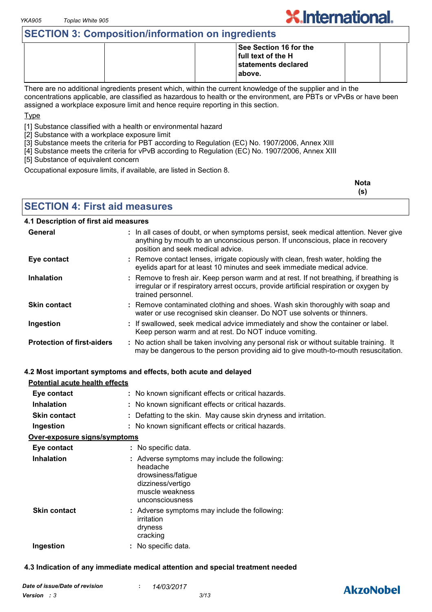## **SECTION 3: Composition/information on ingredients**

|  | See Section 16 for the |  |
|--|------------------------|--|
|  | full text of the H     |  |
|  | statements declared    |  |
|  | above.                 |  |
|  |                        |  |

There are no additional ingredients present which, within the current knowledge of the supplier and in the concentrations applicable, are classified as hazardous to health or the environment, are PBTs or vPvBs or have been assigned a workplace exposure limit and hence require reporting in this section.

Type

[1] Substance classified with a health or environmental hazard

[2] Substance with a workplace exposure limit

[3] Substance meets the criteria for PBT according to Regulation (EC) No. 1907/2006, Annex XIII

[4] Substance meets the criteria for vPvB according to Regulation (EC) No. 1907/2006, Annex XIII

[5] Substance of equivalent concern

Occupational exposure limits, if available, are listed in Section 8.

| <b>Nota</b> |
|-------------|
| (s)         |

**X.International.** 

**SECTION 4: First aid measures**

#### **4.1 Description of first aid measures**

| General                           | : In all cases of doubt, or when symptoms persist, seek medical attention. Never give<br>anything by mouth to an unconscious person. If unconscious, place in recovery<br>position and seek medical advice. |
|-----------------------------------|-------------------------------------------------------------------------------------------------------------------------------------------------------------------------------------------------------------|
| Eye contact                       | : Remove contact lenses, irrigate copiously with clean, fresh water, holding the<br>eyelids apart for at least 10 minutes and seek immediate medical advice.                                                |
| <b>Inhalation</b>                 | : Remove to fresh air. Keep person warm and at rest. If not breathing, if breathing is<br>irregular or if respiratory arrest occurs, provide artificial respiration or oxygen by<br>trained personnel.      |
| <b>Skin contact</b>               | : Remove contaminated clothing and shoes. Wash skin thoroughly with soap and<br>water or use recognised skin cleanser. Do NOT use solvents or thinners.                                                     |
| Ingestion                         | : If swallowed, seek medical advice immediately and show the container or label.<br>Keep person warm and at rest. Do NOT induce vomiting.                                                                   |
| <b>Protection of first-aiders</b> | : No action shall be taken involving any personal risk or without suitable training. It<br>may be dangerous to the person providing aid to give mouth-to-mouth resuscitation.                               |

#### **4.2 Most important symptoms and effects, both acute and delayed**

| <b>Potential acute health effects</b> |                                                                                                                                            |
|---------------------------------------|--------------------------------------------------------------------------------------------------------------------------------------------|
| Eye contact                           | : No known significant effects or critical hazards.                                                                                        |
| <b>Inhalation</b>                     | : No known significant effects or critical hazards.                                                                                        |
| <b>Skin contact</b>                   | : Defatting to the skin. May cause skin dryness and irritation.                                                                            |
| Ingestion                             | : No known significant effects or critical hazards.                                                                                        |
| <u>Over-exposure signs/symptoms</u>   |                                                                                                                                            |
| Eye contact                           | : No specific data.                                                                                                                        |
| <b>Inhalation</b>                     | : Adverse symptoms may include the following:<br>headache<br>drowsiness/fatigue<br>dizziness/vertigo<br>muscle weakness<br>unconsciousness |
| <b>Skin contact</b>                   | : Adverse symptoms may include the following:<br>irritation<br>dryness<br>cracking                                                         |
| Ingestion                             | : No specific data.                                                                                                                        |

#### **4.3 Indication of any immediate medical attention and special treatment needed**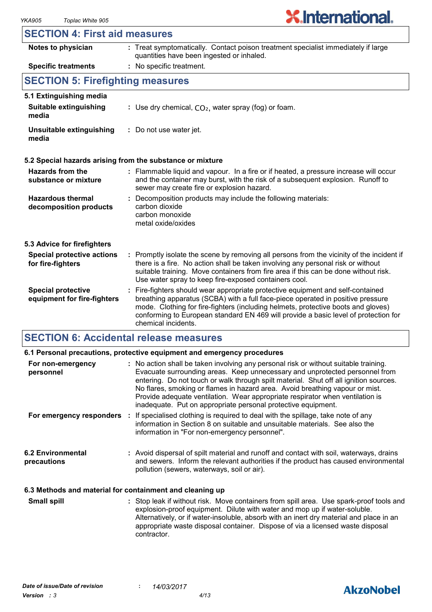#### **SECTION 4: First aid measures**

| Notes to physician                                       | : Treat symptomatically. Contact poison treatment specialist immediately if large<br>quantities have been ingested or inhaled.                                                                                                                                                                                                                                        |  |
|----------------------------------------------------------|-----------------------------------------------------------------------------------------------------------------------------------------------------------------------------------------------------------------------------------------------------------------------------------------------------------------------------------------------------------------------|--|
| <b>Specific treatments</b>                               | : No specific treatment.                                                                                                                                                                                                                                                                                                                                              |  |
| <b>SECTION 5: Firefighting measures</b>                  |                                                                                                                                                                                                                                                                                                                                                                       |  |
| 5.1 Extinguishing media                                  |                                                                                                                                                                                                                                                                                                                                                                       |  |
| Suitable extinguishing<br>media                          | : Use dry chemical, $CO2$ , water spray (fog) or foam.                                                                                                                                                                                                                                                                                                                |  |
| Unsuitable extinguishing<br>media                        | : Do not use water jet.                                                                                                                                                                                                                                                                                                                                               |  |
|                                                          | 5.2 Special hazards arising from the substance or mixture                                                                                                                                                                                                                                                                                                             |  |
| Hazards from the<br>substance or mixture                 | : Flammable liquid and vapour. In a fire or if heated, a pressure increase will occur<br>and the container may burst, with the risk of a subsequent explosion. Runoff to<br>sewer may create fire or explosion hazard.                                                                                                                                                |  |
| <b>Hazardous thermal</b><br>decomposition products       | : Decomposition products may include the following materials:<br>carbon dioxide<br>carbon monoxide<br>metal oxide/oxides                                                                                                                                                                                                                                              |  |
| 5.3 Advice for firefighters                              |                                                                                                                                                                                                                                                                                                                                                                       |  |
| <b>Special protective actions</b><br>for fire-fighters   | : Promptly isolate the scene by removing all persons from the vicinity of the incident if<br>there is a fire. No action shall be taken involving any personal risk or without<br>suitable training. Move containers from fire area if this can be done without risk.<br>Use water spray to keep fire-exposed containers cool.                                         |  |
| <b>Special protective</b><br>equipment for fire-fighters | : Fire-fighters should wear appropriate protective equipment and self-contained<br>breathing apparatus (SCBA) with a full face-piece operated in positive pressure<br>mode. Clothing for fire-fighters (including helmets, protective boots and gloves)<br>conforming to European standard EN 469 will provide a basic level of protection for<br>chemical incidents. |  |

## **SECTION 6: Accidental release measures**

|                                                          | 6.1 Personal precautions, protective equipment and emergency procedures                                                                                                                                                                                                                                                                                                                                                                                                                        |  |  |
|----------------------------------------------------------|------------------------------------------------------------------------------------------------------------------------------------------------------------------------------------------------------------------------------------------------------------------------------------------------------------------------------------------------------------------------------------------------------------------------------------------------------------------------------------------------|--|--|
| For non-emergency<br>personnel                           | : No action shall be taken involving any personal risk or without suitable training.<br>Evacuate surrounding areas. Keep unnecessary and unprotected personnel from<br>entering. Do not touch or walk through spilt material. Shut off all ignition sources.<br>No flares, smoking or flames in hazard area. Avoid breathing vapour or mist.<br>Provide adequate ventilation. Wear appropriate respirator when ventilation is<br>inadequate. Put on appropriate personal protective equipment. |  |  |
|                                                          | For emergency responders : If specialised clothing is required to deal with the spillage, take note of any<br>information in Section 8 on suitable and unsuitable materials. See also the<br>information in "For non-emergency personnel".                                                                                                                                                                                                                                                     |  |  |
| <b>6.2 Environmental</b><br>precautions                  | : Avoid dispersal of spilt material and runoff and contact with soil, waterways, drains<br>and sewers. Inform the relevant authorities if the product has caused environmental<br>pollution (sewers, waterways, soil or air).                                                                                                                                                                                                                                                                  |  |  |
| 6.3 Methods and material for containment and cleaning up |                                                                                                                                                                                                                                                                                                                                                                                                                                                                                                |  |  |

Stop leak if without risk. Move containers from spill area. Use spark-proof tools and explosion-proof equipment. Dilute with water and mop up if water-soluble. Alternatively, or if water-insoluble, absorb with an inert dry material and place in an appropriate waste disposal container. Dispose of via a licensed waste disposal contractor. **Small spill :**

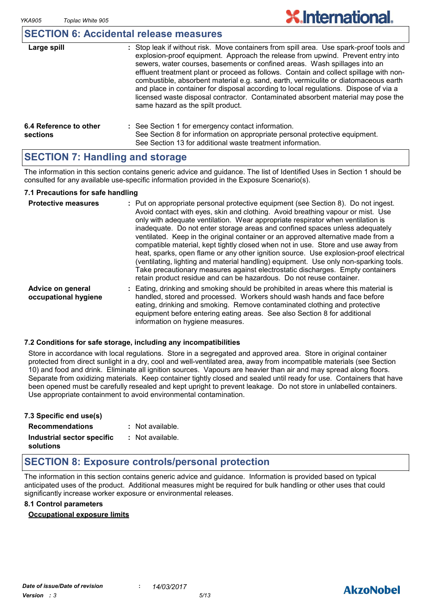### **SECTION 6: Accidental release measures**

| Large spill                        | : Stop leak if without risk. Move containers from spill area. Use spark-proof tools and<br>explosion-proof equipment. Approach the release from upwind. Prevent entry into<br>sewers, water courses, basements or confined areas. Wash spillages into an<br>effluent treatment plant or proceed as follows. Contain and collect spillage with non-<br>combustible, absorbent material e.g. sand, earth, vermiculite or diatomaceous earth<br>and place in container for disposal according to local regulations. Dispose of via a<br>licensed waste disposal contractor. Contaminated absorbent material may pose the<br>same hazard as the spilt product. |
|------------------------------------|------------------------------------------------------------------------------------------------------------------------------------------------------------------------------------------------------------------------------------------------------------------------------------------------------------------------------------------------------------------------------------------------------------------------------------------------------------------------------------------------------------------------------------------------------------------------------------------------------------------------------------------------------------|
| 6.4 Reference to other<br>sections | : See Section 1 for emergency contact information.<br>See Section 8 for information on appropriate personal protective equipment.<br>See Section 13 for additional waste treatment information.                                                                                                                                                                                                                                                                                                                                                                                                                                                            |

## **SECTION 7: Handling and storage**

The information in this section contains generic advice and guidance. The list of Identified Uses in Section 1 should be consulted for any available use-specific information provided in the Exposure Scenario(s).

#### **7.1 Precautions for safe handling**

| <b>Protective measures</b>                | : Put on appropriate personal protective equipment (see Section 8). Do not ingest.<br>Avoid contact with eyes, skin and clothing. Avoid breathing vapour or mist. Use<br>only with adequate ventilation. Wear appropriate respirator when ventilation is<br>inadequate. Do not enter storage areas and confined spaces unless adequately<br>ventilated. Keep in the original container or an approved alternative made from a<br>compatible material, kept tightly closed when not in use. Store and use away from<br>heat, sparks, open flame or any other ignition source. Use explosion-proof electrical<br>(ventilating, lighting and material handling) equipment. Use only non-sparking tools.<br>Take precautionary measures against electrostatic discharges. Empty containers<br>retain product residue and can be hazardous. Do not reuse container. |
|-------------------------------------------|----------------------------------------------------------------------------------------------------------------------------------------------------------------------------------------------------------------------------------------------------------------------------------------------------------------------------------------------------------------------------------------------------------------------------------------------------------------------------------------------------------------------------------------------------------------------------------------------------------------------------------------------------------------------------------------------------------------------------------------------------------------------------------------------------------------------------------------------------------------|
| Advice on general<br>occupational hygiene | : Eating, drinking and smoking should be prohibited in areas where this material is<br>handled, stored and processed. Workers should wash hands and face before<br>eating, drinking and smoking. Remove contaminated clothing and protective<br>equipment before entering eating areas. See also Section 8 for additional<br>information on hygiene measures.                                                                                                                                                                                                                                                                                                                                                                                                                                                                                                  |

#### **7.2 Conditions for safe storage, including any incompatibilities**

Store in accordance with local regulations. Store in a segregated and approved area. Store in original container protected from direct sunlight in a dry, cool and well-ventilated area, away from incompatible materials (see Section 10) and food and drink. Eliminate all ignition sources. Vapours are heavier than air and may spread along floors. Separate from oxidizing materials. Keep container tightly closed and sealed until ready for use. Containers that have been opened must be carefully resealed and kept upright to prevent leakage. Do not store in unlabelled containers. Use appropriate containment to avoid environmental contamination.

| 7.3 Specific end use(s)    |                  |
|----------------------------|------------------|
| <b>Recommendations</b>     | : Not available. |
| Industrial sector specific | : Not available. |
| solutions                  |                  |

## **SECTION 8: Exposure controls/personal protection**

The information in this section contains generic advice and guidance. Information is provided based on typical anticipated uses of the product. Additional measures might be required for bulk handling or other uses that could significantly increase worker exposure or environmental releases.

#### **8.1 Control parameters**

#### **Occupational exposure limits**

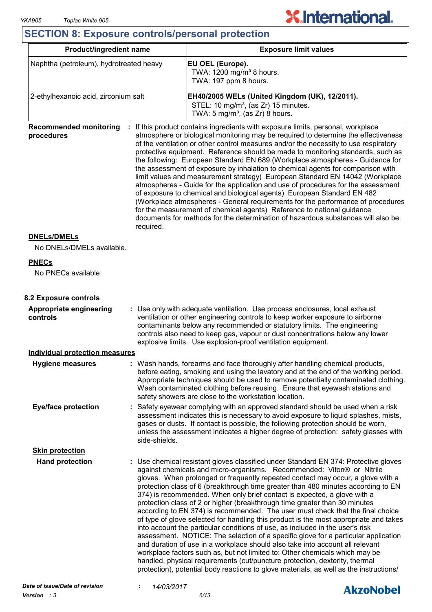## **SECTION 8: Exposure controls/personal protection**

| <b>Product/ingredient name</b><br><b>Exposure limit values</b><br>Naphtha (petroleum), hydrotreated heavy<br>EU OEL (Europe).<br>TWA: 1200 mg/m <sup>3</sup> 8 hours.<br>TWA: 197 ppm 8 hours.<br>2-ethylhexanoic acid, zirconium salt<br>EH40/2005 WELs (United Kingdom (UK), 12/2011).<br>STEL: 10 mg/m <sup>3</sup> , (as Zr) 15 minutes.<br>TWA: $5 \text{ mg/m}^3$ , (as Zr) 8 hours.<br><b>Recommended monitoring</b><br>: If this product contains ingredients with exposure limits, personal, workplace<br>atmosphere or biological monitoring may be required to determine the effectiveness<br>procedures<br>of the ventilation or other control measures and/or the necessity to use respiratory<br>protective equipment. Reference should be made to monitoring standards, such as<br>the following: European Standard EN 689 (Workplace atmospheres - Guidance for<br>the assessment of exposure by inhalation to chemical agents for comparison with<br>limit values and measurement strategy) European Standard EN 14042 (Workplace<br>atmospheres - Guide for the application and use of procedures for the assessment<br>of exposure to chemical and biological agents) European Standard EN 482<br>(Workplace atmospheres - General requirements for the performance of procedures<br>for the measurement of chemical agents) Reference to national guidance<br>documents for methods for the determination of hazardous substances will also be<br>required.<br><b>DNELs/DMELs</b><br>No DNELs/DMELs available.<br><b>PNECs</b><br>No PNECs available<br>8.2 Exposure controls<br>: Use only with adequate ventilation. Use process enclosures, local exhaust<br>Appropriate engineering<br>ventilation or other engineering controls to keep worker exposure to airborne<br>controls<br>contaminants below any recommended or statutory limits. The engineering<br>controls also need to keep gas, vapour or dust concentrations below any lower<br>explosive limits. Use explosion-proof ventilation equipment.<br><b>Individual protection measures</b><br>Wash hands, forearms and face thoroughly after handling chemical products,<br><b>Hygiene measures</b><br>before eating, smoking and using the lavatory and at the end of the working period.<br>Appropriate techniques should be used to remove potentially contaminated clothing.<br>Wash contaminated clothing before reusing. Ensure that eyewash stations and<br>safety showers are close to the workstation location.<br><b>Eye/face protection</b><br>Safety eyewear complying with an approved standard should be used when a risk<br>assessment indicates this is necessary to avoid exposure to liquid splashes, mists,<br>gases or dusts. If contact is possible, the following protection should be worn,<br>unless the assessment indicates a higher degree of protection: safety glasses with<br>side-shields.<br><b>Skin protection</b><br><b>Hand protection</b><br>: Use chemical resistant gloves classified under Standard EN 374: Protective gloves<br>against chemicals and micro-organisms. Recommended: Viton® or Nitrile<br>gloves. When prolonged or frequently repeated contact may occur, a glove with a<br>protection class of 6 (breakthrough time greater than 480 minutes according to EN<br>374) is recommended. When only brief contact is expected, a glove with a<br>protection class of 2 or higher (breakthrough time greater than 30 minutes<br>according to EN 374) is recommended. The user must check that the final choice<br>of type of glove selected for handling this product is the most appropriate and takes<br>into account the particular conditions of use, as included in the user's risk<br>assessment. NOTICE: The selection of a specific glove for a particular application<br>and duration of use in a workplace should also take into account all relevant<br>workplace factors such as, but not limited to: Other chemicals which may be<br>handled, physical requirements (cut/puncture protection, dexterity, thermal<br>protection), potential body reactions to glove materials, as well as the instructions/<br>Date of issue/Date of revision<br>14/03/2017 |  |  |                  |  |  |
|---------------------------------------------------------------------------------------------------------------------------------------------------------------------------------------------------------------------------------------------------------------------------------------------------------------------------------------------------------------------------------------------------------------------------------------------------------------------------------------------------------------------------------------------------------------------------------------------------------------------------------------------------------------------------------------------------------------------------------------------------------------------------------------------------------------------------------------------------------------------------------------------------------------------------------------------------------------------------------------------------------------------------------------------------------------------------------------------------------------------------------------------------------------------------------------------------------------------------------------------------------------------------------------------------------------------------------------------------------------------------------------------------------------------------------------------------------------------------------------------------------------------------------------------------------------------------------------------------------------------------------------------------------------------------------------------------------------------------------------------------------------------------------------------------------------------------------------------------------------------------------------------------------------------------------------------------------------------------------------------------------------------------------------------------------------------------------------------------------------------------------------------------------------------------------------------------------------------------------------------------------------------------------------------------------------------------------------------------------------------------------------------------------------------------------------------------------------------------------------------------------------------------------------------------------------------------------------------------------------------------------------------------------------------------------------------------------------------------------------------------------------------------------------------------------------------------------------------------------------------------------------------------------------------------------------------------------------------------------------------------------------------------------------------------------------------------------------------------------------------------------------------------------------------------------------------------------------------------------------------------------------------------------------------------------------------------------------------------------------------------------------------------------------------------------------------------------------------------------------------------------------------------------------------------------------------------------------------------------------------------------------------------------------------------------------------------------------------------------------------------------------------------------------------------------------------------------------------------------------------------------------------------------------------------------------------------------------------------------------------------------------------------------------------------------------------------------------------------------------------------------------------------------------------------------------------------------------|--|--|------------------|--|--|
|                                                                                                                                                                                                                                                                                                                                                                                                                                                                                                                                                                                                                                                                                                                                                                                                                                                                                                                                                                                                                                                                                                                                                                                                                                                                                                                                                                                                                                                                                                                                                                                                                                                                                                                                                                                                                                                                                                                                                                                                                                                                                                                                                                                                                                                                                                                                                                                                                                                                                                                                                                                                                                                                                                                                                                                                                                                                                                                                                                                                                                                                                                                                                                                                                                                                                                                                                                                                                                                                                                                                                                                                                                                                                                                                                                                                                                                                                                                                                                                                                                                                                                                                                                                                               |  |  |                  |  |  |
|                                                                                                                                                                                                                                                                                                                                                                                                                                                                                                                                                                                                                                                                                                                                                                                                                                                                                                                                                                                                                                                                                                                                                                                                                                                                                                                                                                                                                                                                                                                                                                                                                                                                                                                                                                                                                                                                                                                                                                                                                                                                                                                                                                                                                                                                                                                                                                                                                                                                                                                                                                                                                                                                                                                                                                                                                                                                                                                                                                                                                                                                                                                                                                                                                                                                                                                                                                                                                                                                                                                                                                                                                                                                                                                                                                                                                                                                                                                                                                                                                                                                                                                                                                                                               |  |  |                  |  |  |
|                                                                                                                                                                                                                                                                                                                                                                                                                                                                                                                                                                                                                                                                                                                                                                                                                                                                                                                                                                                                                                                                                                                                                                                                                                                                                                                                                                                                                                                                                                                                                                                                                                                                                                                                                                                                                                                                                                                                                                                                                                                                                                                                                                                                                                                                                                                                                                                                                                                                                                                                                                                                                                                                                                                                                                                                                                                                                                                                                                                                                                                                                                                                                                                                                                                                                                                                                                                                                                                                                                                                                                                                                                                                                                                                                                                                                                                                                                                                                                                                                                                                                                                                                                                                               |  |  |                  |  |  |
|                                                                                                                                                                                                                                                                                                                                                                                                                                                                                                                                                                                                                                                                                                                                                                                                                                                                                                                                                                                                                                                                                                                                                                                                                                                                                                                                                                                                                                                                                                                                                                                                                                                                                                                                                                                                                                                                                                                                                                                                                                                                                                                                                                                                                                                                                                                                                                                                                                                                                                                                                                                                                                                                                                                                                                                                                                                                                                                                                                                                                                                                                                                                                                                                                                                                                                                                                                                                                                                                                                                                                                                                                                                                                                                                                                                                                                                                                                                                                                                                                                                                                                                                                                                                               |  |  |                  |  |  |
|                                                                                                                                                                                                                                                                                                                                                                                                                                                                                                                                                                                                                                                                                                                                                                                                                                                                                                                                                                                                                                                                                                                                                                                                                                                                                                                                                                                                                                                                                                                                                                                                                                                                                                                                                                                                                                                                                                                                                                                                                                                                                                                                                                                                                                                                                                                                                                                                                                                                                                                                                                                                                                                                                                                                                                                                                                                                                                                                                                                                                                                                                                                                                                                                                                                                                                                                                                                                                                                                                                                                                                                                                                                                                                                                                                                                                                                                                                                                                                                                                                                                                                                                                                                                               |  |  |                  |  |  |
|                                                                                                                                                                                                                                                                                                                                                                                                                                                                                                                                                                                                                                                                                                                                                                                                                                                                                                                                                                                                                                                                                                                                                                                                                                                                                                                                                                                                                                                                                                                                                                                                                                                                                                                                                                                                                                                                                                                                                                                                                                                                                                                                                                                                                                                                                                                                                                                                                                                                                                                                                                                                                                                                                                                                                                                                                                                                                                                                                                                                                                                                                                                                                                                                                                                                                                                                                                                                                                                                                                                                                                                                                                                                                                                                                                                                                                                                                                                                                                                                                                                                                                                                                                                                               |  |  |                  |  |  |
|                                                                                                                                                                                                                                                                                                                                                                                                                                                                                                                                                                                                                                                                                                                                                                                                                                                                                                                                                                                                                                                                                                                                                                                                                                                                                                                                                                                                                                                                                                                                                                                                                                                                                                                                                                                                                                                                                                                                                                                                                                                                                                                                                                                                                                                                                                                                                                                                                                                                                                                                                                                                                                                                                                                                                                                                                                                                                                                                                                                                                                                                                                                                                                                                                                                                                                                                                                                                                                                                                                                                                                                                                                                                                                                                                                                                                                                                                                                                                                                                                                                                                                                                                                                                               |  |  |                  |  |  |
|                                                                                                                                                                                                                                                                                                                                                                                                                                                                                                                                                                                                                                                                                                                                                                                                                                                                                                                                                                                                                                                                                                                                                                                                                                                                                                                                                                                                                                                                                                                                                                                                                                                                                                                                                                                                                                                                                                                                                                                                                                                                                                                                                                                                                                                                                                                                                                                                                                                                                                                                                                                                                                                                                                                                                                                                                                                                                                                                                                                                                                                                                                                                                                                                                                                                                                                                                                                                                                                                                                                                                                                                                                                                                                                                                                                                                                                                                                                                                                                                                                                                                                                                                                                                               |  |  |                  |  |  |
|                                                                                                                                                                                                                                                                                                                                                                                                                                                                                                                                                                                                                                                                                                                                                                                                                                                                                                                                                                                                                                                                                                                                                                                                                                                                                                                                                                                                                                                                                                                                                                                                                                                                                                                                                                                                                                                                                                                                                                                                                                                                                                                                                                                                                                                                                                                                                                                                                                                                                                                                                                                                                                                                                                                                                                                                                                                                                                                                                                                                                                                                                                                                                                                                                                                                                                                                                                                                                                                                                                                                                                                                                                                                                                                                                                                                                                                                                                                                                                                                                                                                                                                                                                                                               |  |  |                  |  |  |
|                                                                                                                                                                                                                                                                                                                                                                                                                                                                                                                                                                                                                                                                                                                                                                                                                                                                                                                                                                                                                                                                                                                                                                                                                                                                                                                                                                                                                                                                                                                                                                                                                                                                                                                                                                                                                                                                                                                                                                                                                                                                                                                                                                                                                                                                                                                                                                                                                                                                                                                                                                                                                                                                                                                                                                                                                                                                                                                                                                                                                                                                                                                                                                                                                                                                                                                                                                                                                                                                                                                                                                                                                                                                                                                                                                                                                                                                                                                                                                                                                                                                                                                                                                                                               |  |  |                  |  |  |
|                                                                                                                                                                                                                                                                                                                                                                                                                                                                                                                                                                                                                                                                                                                                                                                                                                                                                                                                                                                                                                                                                                                                                                                                                                                                                                                                                                                                                                                                                                                                                                                                                                                                                                                                                                                                                                                                                                                                                                                                                                                                                                                                                                                                                                                                                                                                                                                                                                                                                                                                                                                                                                                                                                                                                                                                                                                                                                                                                                                                                                                                                                                                                                                                                                                                                                                                                                                                                                                                                                                                                                                                                                                                                                                                                                                                                                                                                                                                                                                                                                                                                                                                                                                                               |  |  |                  |  |  |
|                                                                                                                                                                                                                                                                                                                                                                                                                                                                                                                                                                                                                                                                                                                                                                                                                                                                                                                                                                                                                                                                                                                                                                                                                                                                                                                                                                                                                                                                                                                                                                                                                                                                                                                                                                                                                                                                                                                                                                                                                                                                                                                                                                                                                                                                                                                                                                                                                                                                                                                                                                                                                                                                                                                                                                                                                                                                                                                                                                                                                                                                                                                                                                                                                                                                                                                                                                                                                                                                                                                                                                                                                                                                                                                                                                                                                                                                                                                                                                                                                                                                                                                                                                                                               |  |  |                  |  |  |
|                                                                                                                                                                                                                                                                                                                                                                                                                                                                                                                                                                                                                                                                                                                                                                                                                                                                                                                                                                                                                                                                                                                                                                                                                                                                                                                                                                                                                                                                                                                                                                                                                                                                                                                                                                                                                                                                                                                                                                                                                                                                                                                                                                                                                                                                                                                                                                                                                                                                                                                                                                                                                                                                                                                                                                                                                                                                                                                                                                                                                                                                                                                                                                                                                                                                                                                                                                                                                                                                                                                                                                                                                                                                                                                                                                                                                                                                                                                                                                                                                                                                                                                                                                                                               |  |  |                  |  |  |
|                                                                                                                                                                                                                                                                                                                                                                                                                                                                                                                                                                                                                                                                                                                                                                                                                                                                                                                                                                                                                                                                                                                                                                                                                                                                                                                                                                                                                                                                                                                                                                                                                                                                                                                                                                                                                                                                                                                                                                                                                                                                                                                                                                                                                                                                                                                                                                                                                                                                                                                                                                                                                                                                                                                                                                                                                                                                                                                                                                                                                                                                                                                                                                                                                                                                                                                                                                                                                                                                                                                                                                                                                                                                                                                                                                                                                                                                                                                                                                                                                                                                                                                                                                                                               |  |  | <b>AkzoNobel</b> |  |  |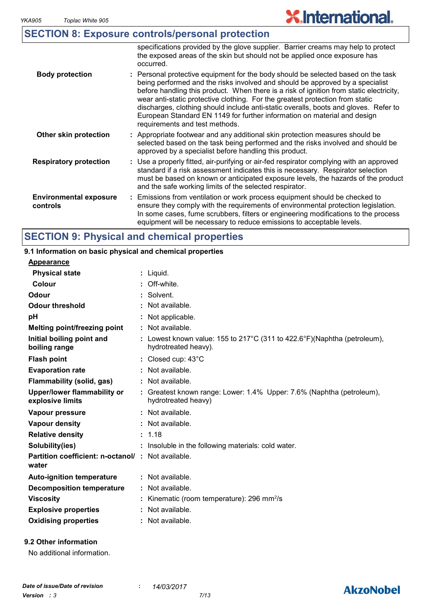| <b>SECTION 8: Exposure controls/personal protection</b>                           |  |
|-----------------------------------------------------------------------------------|--|
| eperting the provided by the along quantier. Derrier examples way help to protect |  |

|                                           | specifications provided by the glove supplier. Barrier creams may neip to protect<br>the exposed areas of the skin but should not be applied once exposure has<br>occurred.                                                                                                                                                                                                                                                                                                                                                                          |
|-------------------------------------------|------------------------------------------------------------------------------------------------------------------------------------------------------------------------------------------------------------------------------------------------------------------------------------------------------------------------------------------------------------------------------------------------------------------------------------------------------------------------------------------------------------------------------------------------------|
| <b>Body protection</b>                    | : Personal protective equipment for the body should be selected based on the task<br>being performed and the risks involved and should be approved by a specialist<br>before handling this product. When there is a risk of ignition from static electricity,<br>wear anti-static protective clothing. For the greatest protection from static<br>discharges, clothing should include anti-static overalls, boots and gloves. Refer to<br>European Standard EN 1149 for further information on material and design<br>requirements and test methods. |
| Other skin protection                     | : Appropriate footwear and any additional skin protection measures should be<br>selected based on the task being performed and the risks involved and should be<br>approved by a specialist before handling this product.                                                                                                                                                                                                                                                                                                                            |
| <b>Respiratory protection</b>             | : Use a properly fitted, air-purifying or air-fed respirator complying with an approved<br>standard if a risk assessment indicates this is necessary. Respirator selection<br>must be based on known or anticipated exposure levels, the hazards of the product<br>and the safe working limits of the selected respirator.                                                                                                                                                                                                                           |
| <b>Environmental exposure</b><br>controls | : Emissions from ventilation or work process equipment should be checked to<br>ensure they comply with the requirements of environmental protection legislation.<br>In some cases, fume scrubbers, filters or engineering modifications to the process<br>equipment will be necessary to reduce emissions to acceptable levels.                                                                                                                                                                                                                      |

## **SECTION 9: Physical and chemical properties**

#### Liquid. **: Appearance** Lowest known value: 155 to 217°C (311 to 422.6°F)(Naphtha (petroleum), **:** hydrotreated heavy). **Physical state Melting point/freezing point Initial boiling point and boiling range Vapour pressure Relative density Vapour density Solubility(ies)** Not available. **:** 1.18 **:** Not available. **:** Not available. **: :** Insoluble in the following materials: cold water. **Odour** Solvent. **pH Colour** : Off-white. **Evaporation rate Auto-ignition temperature Flash point** Not available. **:** Closed cup: 43°C **:** Greatest known range: Lower: 1.4% Upper: 7.6% (Naphtha (petroleum), **:** hydrotreated heavy) Not available. **: Partition coefficient: n-octanol/ : Not available.** Not applicable. **: Viscosity Kinematic (room temperature): 296 mm<sup>2</sup>/s Odour threshold water Upper/lower flammability or explosive limits Explosive properties** : Not available. **: Oxidising properties :** Not available. **9.1 Information on basic physical and chemical properties 9.2 Other information Decomposition temperature :** Not available. **Flammability (solid, gas) :** Not available.

No additional information.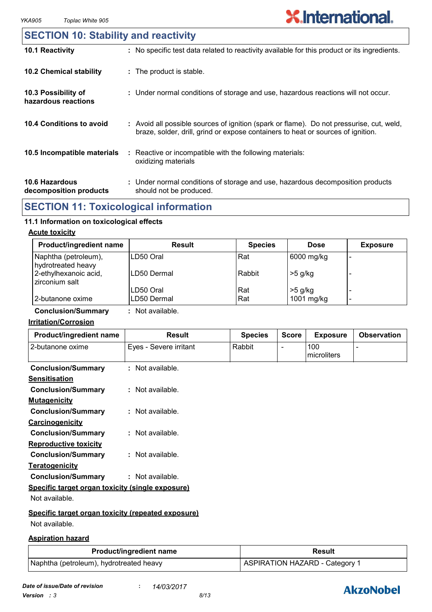### **10.6 Hazardous decomposition products 10.4 Conditions to avoid** : Avoid all possible sources of ignition (spark or flame). Do not pressurise, cut, weld, braze, solder, drill, grind or expose containers to heat or sources of ignition. Under normal conditions of storage and use, hazardous decomposition products **:** should not be produced. **10.2 Chemical stability** : Reactive or incompatible with the following materials: oxidizing materials **: 10.5 Incompatible materials : 10.3 Possibility of hazardous reactions :** Under normal conditions of storage and use, hazardous reactions will not occur. **SECTION 10: Stability and reactivity 10.1 Reactivity :** No specific test data related to reactivity available for this product or its ingredients.

## **SECTION 11: Toxicological information**

#### **11.1 Information on toxicological effects**

#### **Acute toxicity**

| <b>Product/ingredient name</b>             | Result      | <b>Species</b> | <b>Dose</b> | <b>Exposure</b> |
|--------------------------------------------|-------------|----------------|-------------|-----------------|
| Naphtha (petroleum),<br>hydrotreated heavy | ILD50 Oral  | Rat            | 6000 mg/kg  |                 |
| 2-ethylhexanoic acid,<br>zirconium salt    | LD50 Dermal | Rabbit         | $>5$ g/kg   |                 |
|                                            | LD50 Oral   | Rat            | $>5$ g/kg   |                 |
| 2-butanone oxime                           | LD50 Dermal | Rat            | 1001 mg/kg  | -               |

**Conclusion/Summary :** Not available.

#### **Irritation/Corrosion**

| Product/ingredient name                            | <b>Result</b>          | <b>Species</b> | <b>Score</b> | <b>Exposure</b>    | <b>Observation</b> |
|----------------------------------------------------|------------------------|----------------|--------------|--------------------|--------------------|
| 2-butanone oxime                                   | Eyes - Severe irritant | Rabbit         |              | 100<br>microliters |                    |
| <b>Conclusion/Summary</b>                          | : Not available.       |                |              |                    |                    |
| <b>Sensitisation</b>                               |                        |                |              |                    |                    |
| <b>Conclusion/Summary</b>                          | : Not available.       |                |              |                    |                    |
| <b>Mutagenicity</b>                                |                        |                |              |                    |                    |
| <b>Conclusion/Summary</b>                          | : Not available.       |                |              |                    |                    |
| Carcinogenicity                                    |                        |                |              |                    |                    |
| <b>Conclusion/Summary</b>                          | $:$ Not available.     |                |              |                    |                    |
| <b>Reproductive toxicity</b>                       |                        |                |              |                    |                    |
| <b>Conclusion/Summary</b>                          | $:$ Not available.     |                |              |                    |                    |
| <b>Teratogenicity</b>                              |                        |                |              |                    |                    |
| <b>Conclusion/Summary</b>                          | : Not available.       |                |              |                    |                    |
| Specific target organ toxicity (single exposure)   |                        |                |              |                    |                    |
| Not available.                                     |                        |                |              |                    |                    |
| Specific target organ toxicity (repeated exposure) |                        |                |              |                    |                    |
| Not available.                                     |                        |                |              |                    |                    |

#### **Aspiration hazard**

| <b>Product/ingredient name</b>          | <b>Result</b>                  |  |  |
|-----------------------------------------|--------------------------------|--|--|
| Naphtha (petroleum), hydrotreated heavy | ASPIRATION HAZARD - Category 1 |  |  |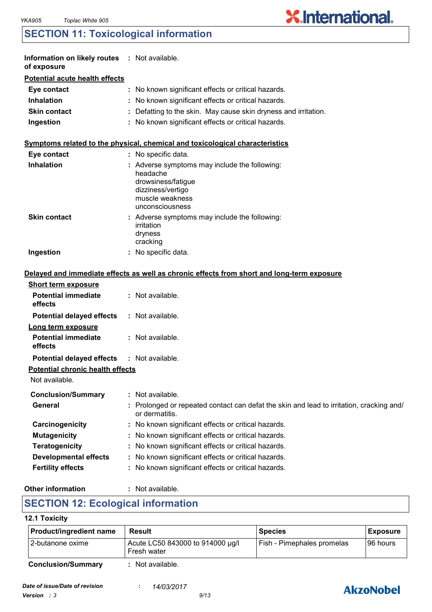## **SECTION 11: Toxicological information**

| Information on likely routes : Not available.<br>of exposure |                                                                                                                                            |
|--------------------------------------------------------------|--------------------------------------------------------------------------------------------------------------------------------------------|
| <b>Potential acute health effects</b>                        |                                                                                                                                            |
| Eye contact                                                  | No known significant effects or critical hazards.                                                                                          |
| <b>Inhalation</b>                                            | No known significant effects or critical hazards.                                                                                          |
| <b>Skin contact</b>                                          | Defatting to the skin. May cause skin dryness and irritation.                                                                              |
| Ingestion                                                    | : No known significant effects or critical hazards.                                                                                        |
|                                                              | Symptoms related to the physical, chemical and toxicological characteristics                                                               |
| Eye contact                                                  | No specific data.                                                                                                                          |
| <b>Inhalation</b>                                            | : Adverse symptoms may include the following:<br>headache<br>drowsiness/fatigue<br>dizziness/vertigo<br>muscle weakness<br>unconsciousness |
| <b>Skin contact</b>                                          | : Adverse symptoms may include the following:<br>irritation<br>dryness<br>cracking                                                         |
| Ingestion                                                    | No specific data.                                                                                                                          |
|                                                              | Delayed and immediate effects as well as chronic effects from short and long-term exposure                                                 |
| <b>Short term exposure</b>                                   |                                                                                                                                            |
| <b>Potential immediate</b><br>effects                        | : Not available.                                                                                                                           |
| <b>Potential delayed effects</b>                             | : Not available.                                                                                                                           |
| Long term exposure                                           |                                                                                                                                            |
| <b>Potential immediate</b><br>effects                        | : Not available.                                                                                                                           |
| <b>Potential delayed effects</b>                             | : Not available.                                                                                                                           |
| <b>Potential chronic health effects</b>                      |                                                                                                                                            |
| Not available.                                               |                                                                                                                                            |
| <b>Conclusion/Summary</b>                                    | Not available.                                                                                                                             |
| General                                                      | Prolonged or repeated contact can defat the skin and lead to irritation, cracking and/<br>or dermatitis.                                   |
| Carcinogenicity                                              | No known significant effects or critical hazards.                                                                                          |
| <b>Mutagenicity</b>                                          | No known significant effects or critical hazards.                                                                                          |
| <b>Teratogenicity</b>                                        | No known significant effects or critical hazards.                                                                                          |
| <b>Developmental effects</b>                                 | No known significant effects or critical hazards.                                                                                          |
| <b>Fertility effects</b>                                     | No known significant effects or critical hazards.                                                                                          |
|                                                              |                                                                                                                                            |

#### **Other information :**

: Not available.

## **SECTION 12: Ecological information**

#### **12.1 Toxicity**

| Product/ingredient name   | Result                                          | <b>Species</b>             | <b>Exposure</b> |
|---------------------------|-------------------------------------------------|----------------------------|-----------------|
| 12-butanone oxime         | Acute LC50 843000 to 914000 µg/l<br>Fresh water | Fish - Pimephales promelas | I96 hours       |
| <b>Conclusion/Summary</b> | Not available.                                  |                            |                 |



**X.International.**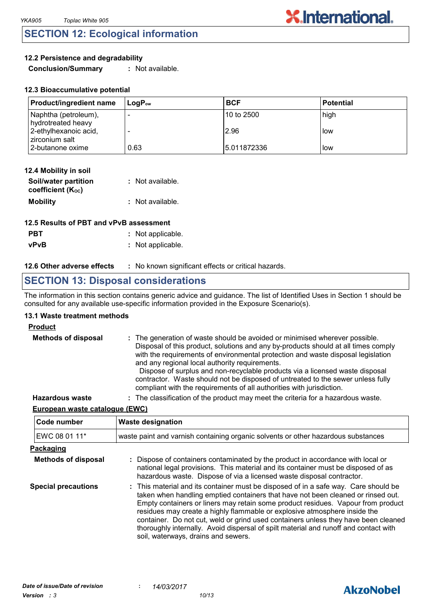## **SECTION 12: Ecological information**

#### **12.2 Persistence and degradability**

**Conclusion/Summary :** Not available.

| <b>Product/ingredient name</b>             | $\mathsf{Loa}\mathsf{P}_\mathsf{ow}$ | <b>BCF</b>   | l Potential |
|--------------------------------------------|--------------------------------------|--------------|-------------|
| Naphtha (petroleum),<br>hydrotreated heavy |                                      | 10 to 2500   | high        |
| 2-ethylhexanoic acid,<br>zirconium salt    |                                      | 2.96         | l low       |
| 2-butanone oxime                           | 0.63                                 | 15.011872336 | llow        |

**X.International.** 

| 12.4 Mobility in soil                     |                  |
|-------------------------------------------|------------------|
| Soil/water partition<br>coefficient (Koc) | : Not available. |
| <b>Mobility</b>                           | : Not available. |

| 12.5 Results of PBT and vPvB assessment |                   |  |
|-----------------------------------------|-------------------|--|
| <b>PBT</b>                              | : Not applicable. |  |
| <b>vPvB</b>                             | : Not applicable. |  |

#### **12.6 Other adverse effects** : No known significant effects or critical hazards.

## **SECTION 13: Disposal considerations**

The information in this section contains generic advice and guidance. The list of Identified Uses in Section 1 should be consulted for any available use-specific information provided in the Exposure Scenario(s).

#### **13.1 Waste treatment methods**

#### **Product**

| <b>Methods of disposal</b> | : The generation of waste should be avoided or minimised wherever possible.<br>Disposal of this product, solutions and any by-products should at all times comply<br>with the requirements of environmental protection and waste disposal legislation<br>and any regional local authority requirements.<br>Dispose of surplus and non-recyclable products via a licensed waste disposal<br>contractor. Waste should not be disposed of untreated to the sewer unless fully<br>compliant with the requirements of all authorities with jurisdiction. |
|----------------------------|-----------------------------------------------------------------------------------------------------------------------------------------------------------------------------------------------------------------------------------------------------------------------------------------------------------------------------------------------------------------------------------------------------------------------------------------------------------------------------------------------------------------------------------------------------|
| <b>Hazardous waste</b>     | : The classification of the product may meet the criteria for a hazardous waste.                                                                                                                                                                                                                                                                                                                                                                                                                                                                    |

#### **European waste catalogue (EWC)**

| Code number                | <b>Waste designation</b>                                                                                                                                                                                                                                                                                                                                                                                                                                                                                                                                      |  |  |
|----------------------------|---------------------------------------------------------------------------------------------------------------------------------------------------------------------------------------------------------------------------------------------------------------------------------------------------------------------------------------------------------------------------------------------------------------------------------------------------------------------------------------------------------------------------------------------------------------|--|--|
| EWC 08 01 11*              | waste paint and varnish containing organic solvents or other hazardous substances                                                                                                                                                                                                                                                                                                                                                                                                                                                                             |  |  |
| <b>Packaging</b>           |                                                                                                                                                                                                                                                                                                                                                                                                                                                                                                                                                               |  |  |
| <b>Methods of disposal</b> | : Dispose of containers contaminated by the product in accordance with local or<br>national legal provisions. This material and its container must be disposed of as<br>hazardous waste. Dispose of via a licensed waste disposal contractor.                                                                                                                                                                                                                                                                                                                 |  |  |
| <b>Special precautions</b> | : This material and its container must be disposed of in a safe way. Care should be<br>taken when handling emptied containers that have not been cleaned or rinsed out.<br>Empty containers or liners may retain some product residues. Vapour from product<br>residues may create a highly flammable or explosive atmosphere inside the<br>container. Do not cut, weld or grind used containers unless they have been cleaned<br>thoroughly internally. Avoid dispersal of spilt material and runoff and contact with<br>soil, waterways, drains and sewers. |  |  |

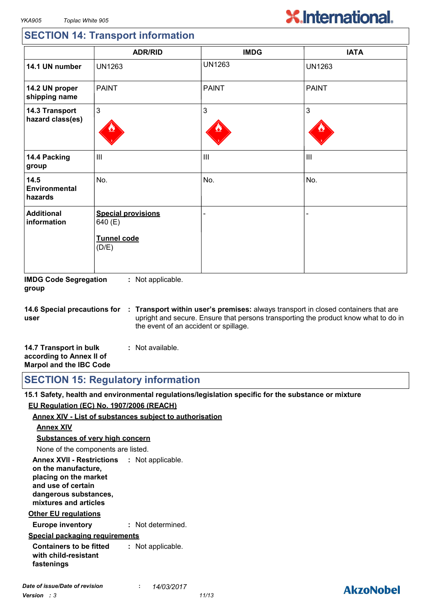## **SECTION 14: Transport information**

|                                    | <b>ADR/RID</b>                                                      | <b>IMDG</b>    | <b>IATA</b>    |
|------------------------------------|---------------------------------------------------------------------|----------------|----------------|
| 14.1 UN number                     | <b>UN1263</b>                                                       | <b>UN1263</b>  | <b>UN1263</b>  |
| 14.2 UN proper<br>shipping name    | <b>PAINT</b>                                                        | <b>PAINT</b>   | <b>PAINT</b>   |
| 14.3 Transport<br>hazard class(es) | 3                                                                   | 3              | 3              |
| 14.4 Packing<br>group              | $\mathbf{III}$                                                      | $\mathbf{III}$ | $\mathbf{III}$ |
| 14.5<br>Environmental<br>hazards   | No.                                                                 | No.            | No.            |
| <b>Additional</b><br>information   | <b>Special provisions</b><br>640 (E)<br><b>Tunnel code</b><br>(D/E) |                |                |

**IMDG Code Segregation group :** Not applicable.

**14.6 Special precautions for user Transport within user's premises:** always transport in closed containers that are **:** upright and secure. Ensure that persons transporting the product know what to do in the event of an accident or spillage.

| 14.7 Transport in bulk         | : Not available. |
|--------------------------------|------------------|
| according to Annex II of       |                  |
| <b>Marpol and the IBC Code</b> |                  |

**SECTION 15: Regulatory information**

**15.1 Safety, health and environmental regulations/legislation specific for the substance or mixture EU Regulation (EC) No. 1907/2006 (REACH)**

#### **Annex XIV - List of substances subject to authorisation**

#### **Annex XIV**

**Substances of very high concern**

None of the components are listed.

**Annex XVII - Restrictions : Not applicable. on the manufacture, placing on the market and use of certain dangerous substances, mixtures and articles**

#### **Other EU regulations**

**Europe inventory :** Not determined.

#### **Special packaging requirements**

**Containers to be fitted with child-resistant fastenings :** Not applicable.

## **AkzoNobel**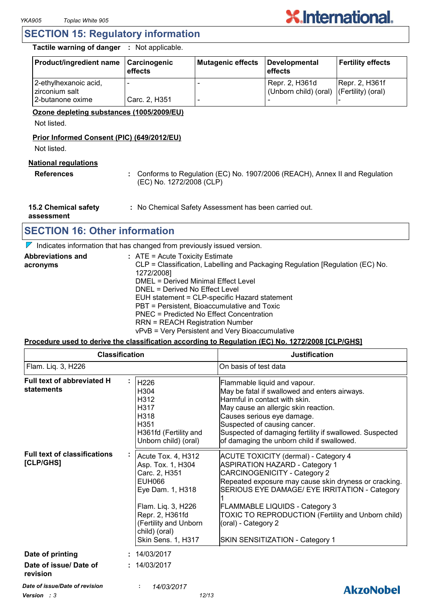## **SECTION 15: Regulatory information**

**Tactile warning of danger :** Not applicable.

| <b>Product/ingredient name</b>          | <b>Carcinogenic</b><br>effects | Mutagenic effects | Developmental<br>effects                                   | <b>Fertility effects</b> |
|-----------------------------------------|--------------------------------|-------------------|------------------------------------------------------------|--------------------------|
| 2-ethylhexanoic acid,<br>zirconium salt |                                |                   | Repr. 2, H361d<br>(Unborn child) (oral) (Fertility) (oral) | Repr. 2, H361f           |
| l 2-butanone oxime                      | Carc. 2, H351                  |                   |                                                            |                          |

#### **Ozone depleting substances (1005/2009/EU)**

Not listed.

#### **Prior Informed Consent (PIC) (649/2012/EU)**

Not listed.

#### **National regulations**

**References :** Conforms to Regulation (EC) No. 1907/2006 (REACH), Annex II and Regulation (EC) No. 1272/2008 (CLP)

**15.2 Chemical safety :** No Chemical Safety Assessment has been carried out.

**assessment**

## **SECTION 16: Other information**

 $\nabla$  Indicates information that has changed from previously issued version.

| <b>Abbreviations and</b> | $:$ ATE = Acute Toxicity Estimate                                             |
|--------------------------|-------------------------------------------------------------------------------|
| acronyms                 | CLP = Classification, Labelling and Packaging Regulation [Regulation (EC) No. |
|                          | 1272/2008]                                                                    |
|                          | DMEL = Derived Minimal Effect Level                                           |
|                          | DNEL = Derived No Effect Level                                                |
|                          | EUH statement = CLP-specific Hazard statement                                 |
|                          | PBT = Persistent, Bioaccumulative and Toxic                                   |
|                          | PNEC = Predicted No Effect Concentration                                      |
|                          | <b>RRN = REACH Registration Number</b>                                        |
|                          | vPvB = Very Persistent and Very Bioaccumulative                               |

#### **Procedure used to derive the classification according to Regulation (EC) No. 1272/2008 [CLP/GHS]**

|                                                        | <b>Classification</b>                                                                                                                                                                                  | <b>Justification</b>                                                                                                                                                                                                                                                                                                                                                                    |
|--------------------------------------------------------|--------------------------------------------------------------------------------------------------------------------------------------------------------------------------------------------------------|-----------------------------------------------------------------------------------------------------------------------------------------------------------------------------------------------------------------------------------------------------------------------------------------------------------------------------------------------------------------------------------------|
| Flam. Liq. 3, H226                                     |                                                                                                                                                                                                        | On basis of test data                                                                                                                                                                                                                                                                                                                                                                   |
| Full text of abbreviated H<br>statements               | H <sub>226</sub><br>H304<br>H312<br>H317<br>H318<br>H351<br>H361fd (Fertility and<br>Unborn child) (oral)                                                                                              | Flammable liquid and vapour.<br>May be fatal if swallowed and enters airways.<br>Harmful in contact with skin.<br>May cause an allergic skin reaction.<br>Causes serious eye damage.<br>Suspected of causing cancer.<br>Suspected of damaging fertility if swallowed. Suspected<br>of damaging the unborn child if swallowed.                                                           |
| <b>Full text of classifications</b><br>[CLP/GHS]       | Acute Tox. 4, H312<br>Asp. Tox. 1, H304<br>Carc. 2, H351<br><b>EUH066</b><br>Eye Dam. 1, H318<br>Flam. Liq. 3, H226<br>Repr. 2, H361fd<br>(Fertility and Unborn<br>child) (oral)<br>Skin Sens. 1, H317 | <b>ACUTE TOXICITY (dermal) - Category 4</b><br><b>ASPIRATION HAZARD - Category 1</b><br><b>CARCINOGENICITY - Category 2</b><br>Repeated exposure may cause skin dryness or cracking.<br>SERIOUS EYE DAMAGE/ EYE IRRITATION - Category<br>FLAMMABLE LIQUIDS - Category 3<br>TOXIC TO REPRODUCTION (Fertility and Unborn child)<br>(oral) - Category 2<br>SKIN SENSITIZATION - Category 1 |
| Date of printing<br>Date of issue/ Date of<br>revision | 14/03/2017<br>: 14/03/2017                                                                                                                                                                             |                                                                                                                                                                                                                                                                                                                                                                                         |
| Date of issue/Date of revision<br>Version : 3          | 14/03/2017<br>12/13                                                                                                                                                                                    | <b>AkzoNobel</b>                                                                                                                                                                                                                                                                                                                                                                        |